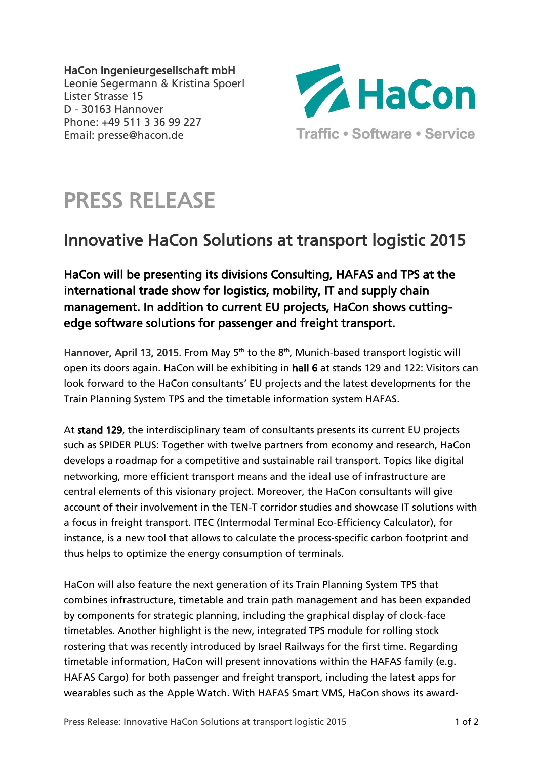HaCon Ingenieurgesellschaft mbH Leonie Segermann & Kristina Spoerl Lister Strasse 15 D - 30163 Hannover Phone: +49 511 3 36 99 227 Email: presse@hacon.de



## PRESS RELEASE

## Innovative HaCon Solutions at transport logistic 2015

HaCon will be presenting its divisions Consulting, HAFAS and TPS at the international trade show for logistics, mobility, IT and supply chain management. In addition to current EU projects, HaCon shows cuttingedge software solutions for passenger and freight transport.

Hannover, April 13, 2015. From May 5<sup>th</sup> to the 8<sup>th</sup>, Munich-based transport logistic will open its doors again. HaCon will be exhibiting in hall 6 at stands 129 and 122: Visitors can look forward to the HaCon consultants' EU projects and the latest developments for the Train Planning System TPS and the timetable information system HAFAS.

At stand 129, the interdisciplinary team of consultants presents its current EU projects such as SPIDER PLUS: Together with twelve partners from economy and research, HaCon develops a roadmap for a competitive and sustainable rail transport. Topics like digital networking, more efficient transport means and the ideal use of infrastructure are central elements of this visionary project. Moreover, the HaCon consultants will give account of their involvement in the TEN-T corridor studies and showcase IT solutions with a focus in freight transport. ITEC (Intermodal Terminal Eco-Efficiency Calculator), for instance, is a new tool that allows to calculate the process-specific carbon footprint and thus helps to optimize the energy consumption of terminals.

HaCon will also feature the next generation of its Train Planning System TPS that combines infrastructure, timetable and train path management and has been expanded by components for strategic planning, including the graphical display of clock-face timetables. Another highlight is the new, integrated TPS module for rolling stock rostering that was recently introduced by Israel Railways for the first time. Regarding timetable information, HaCon will present innovations within the HAFAS family (e.g. HAFAS Cargo) for both passenger and freight transport, including the latest apps for wearables such as the Apple Watch. With HAFAS Smart VMS, HaCon shows its award